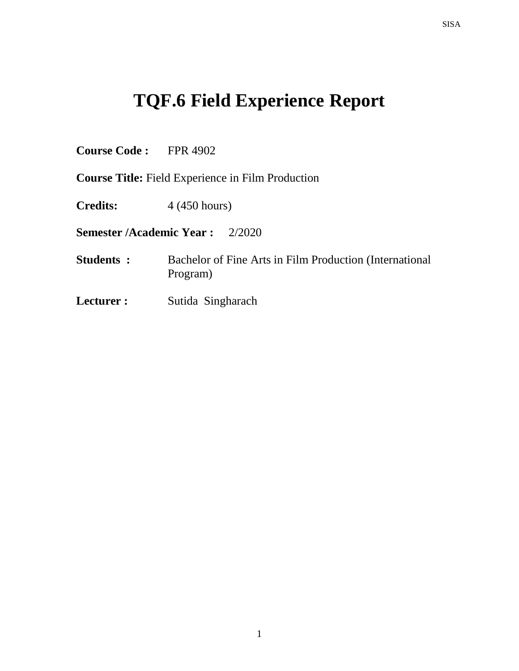# **TQF.6 Field Experience Report**

**Course Code :** FPR 4902

**Course Title:** Field Experience in Film Production

**Credits:** 4 (450 hours)

**Semester /Academic Year :** 2/2020

- **Students :** Bachelor of Fine Arts in Film Production (International Program)
- **Lecturer :** Sutida Singharach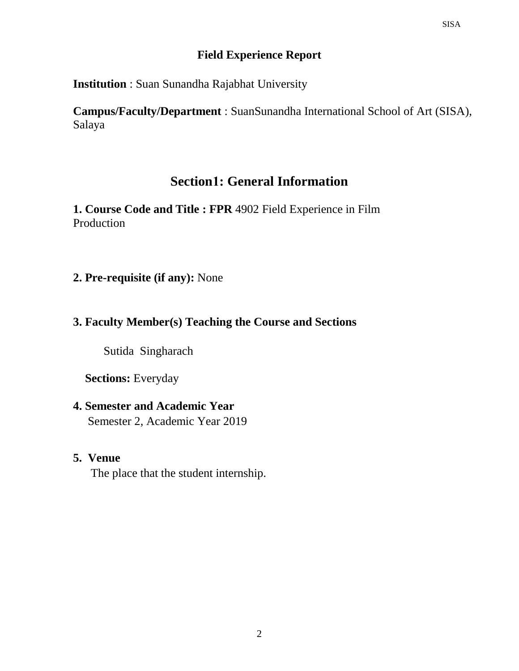## **Field Experience Report**

**Institution** : Suan Sunandha Rajabhat University

**Campus/Faculty/Department** : SuanSunandha International School of Art (SISA), Salaya

# **Section1: General Information**

**1. Course Code and Title : FPR** 4902 Field Experience in Film Production

**2. Pre-requisite (if any):** None

# **3. Faculty Member(s) Teaching the Course and Sections**

Sutida Singharach

**Sections:** Everyday

# **4. Semester and Academic Year** Semester 2, Academic Year 2019

# **5. Venue**

The place that the student internship.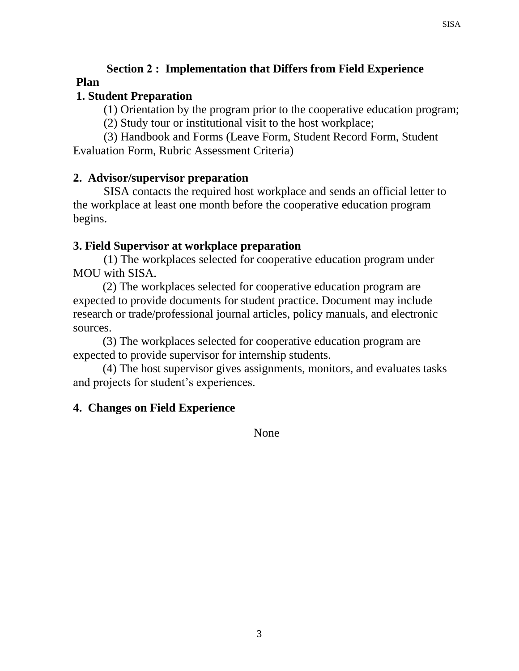# **Section 2 : Implementation that Differs from Field Experience Plan**

# **1. Student Preparation**

(1) Orientation by the program prior to the cooperative education program;

(2) Study tour or institutional visit to the host workplace;

(3) Handbook and Forms (Leave Form, Student Record Form, Student Evaluation Form, Rubric Assessment Criteria)

# **2. Advisor/supervisor preparation**

SISA contacts the required host workplace and sends an official letter to the workplace at least one month before the cooperative education program begins.

# **3. Field Supervisor at workplace preparation**

(1) The workplaces selected for cooperative education program under MOU with SISA.

 (2) The workplaces selected for cooperative education program are expected to provide documents for student practice. Document may include research or trade/professional journal articles, policy manuals, and electronic sources.

 (3) The workplaces selected for cooperative education program are expected to provide supervisor for internship students.

 (4) The host supervisor gives assignments, monitors, and evaluates tasks and projects for student's experiences.

#### **4. Changes on Field Experience**

None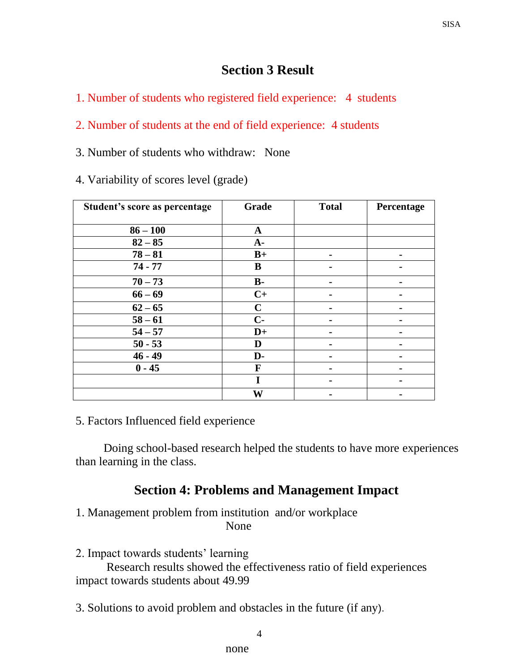# **Section 3 Result**

1. Number of students who registered field experience: 4 students

#### 2. Number of students at the end of field experience: 4 students

3. Number of students who withdraw: None

4. Variability of scores level (grade)

| Student's score as percentage | Grade       | <b>Total</b>   | Percentage |
|-------------------------------|-------------|----------------|------------|
| $86 - 100$                    | $\mathbf A$ |                |            |
| $82 - 85$                     | $A -$       |                |            |
| $78 - 81$                     | $B+$        | $\blacksquare$ |            |
| $74 - 77$                     | B           |                |            |
| $70 - 73$                     | <b>B-</b>   |                |            |
| $66 - 69$                     | $C+$        |                |            |
| $62 - 65$                     | $\mathbf C$ |                |            |
| $58 - 61$                     | $C-$        |                |            |
| $54 - 57$                     | $D+$        |                |            |
| $50 - 53$                     | D           |                |            |
| $46 - 49$                     | D-          |                |            |
| $0 - 45$                      | F           |                |            |
|                               | I           |                |            |
|                               | W           |                |            |

#### 5. Factors Influenced field experience

Doing school-based research helped the students to have more experiences than learning in the class.

# **Section 4: Problems and Management Impact**

1. Management problem from institution and/or workplace None

2. Impact towards students' learning

Research results showed the effectiveness ratio of field experiences impact towards students about 49.99

3. Solutions to avoid problem and obstacles in the future (if any).